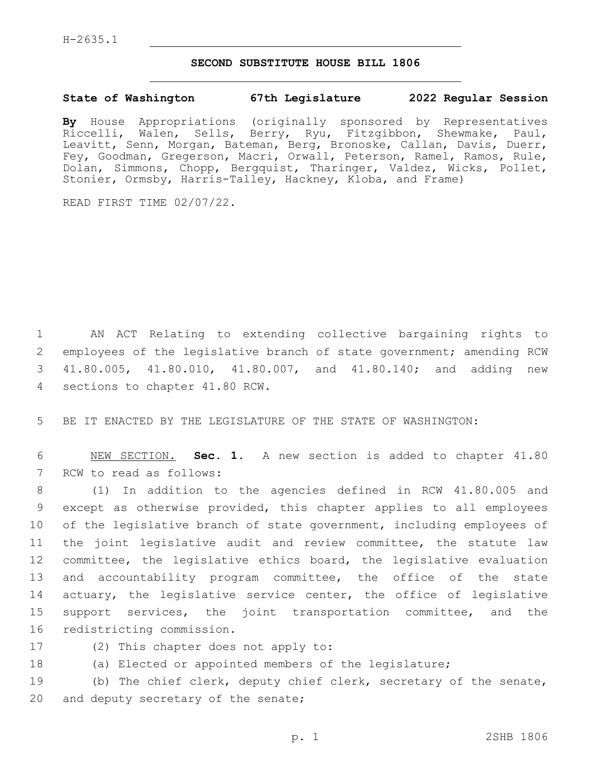## **SECOND SUBSTITUTE HOUSE BILL 1806**

## **State of Washington 67th Legislature 2022 Regular Session**

**By** House Appropriations (originally sponsored by Representatives Riccelli, Walen, Sells, Berry, Ryu, Fitzgibbon, Shewmake, Paul, Leavitt, Senn, Morgan, Bateman, Berg, Bronoske, Callan, Davis, Duerr, Fey, Goodman, Gregerson, Macri, Orwall, Peterson, Ramel, Ramos, Rule, Dolan, Simmons, Chopp, Bergquist, Tharinger, Valdez, Wicks, Pollet, Stonier, Ormsby, Harris-Talley, Hackney, Kloba, and Frame)

READ FIRST TIME 02/07/22.

1 AN ACT Relating to extending collective bargaining rights to 2 employees of the legislative branch of state government; amending RCW 3 41.80.005, 41.80.010, 41.80.007, and 41.80.140; and adding new 4 sections to chapter 41.80 RCW.

5 BE IT ENACTED BY THE LEGISLATURE OF THE STATE OF WASHINGTON:

6 NEW SECTION. **Sec. 1.** A new section is added to chapter 41.80 7 RCW to read as follows:

 (1) In addition to the agencies defined in RCW 41.80.005 and except as otherwise provided, this chapter applies to all employees of the legislative branch of state government, including employees of the joint legislative audit and review committee, the statute law committee, the legislative ethics board, the legislative evaluation and accountability program committee, the office of the state 14 actuary, the legislative service center, the office of legislative support services, the joint transportation committee, and the 16 redistricting commission.

- 
- 17 (2) This chapter does not apply to:
- 18 (a) Elected or appointed members of the legislature;

19 (b) The chief clerk, deputy chief clerk, secretary of the senate, 20 and deputy secretary of the senate;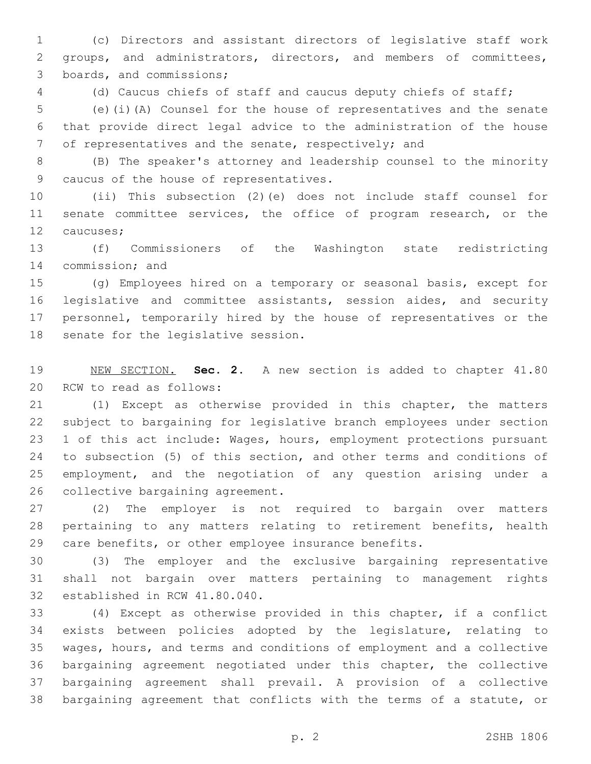(c) Directors and assistant directors of legislative staff work groups, and administrators, directors, and members of committees, 3 boards, and commissions;

(d) Caucus chiefs of staff and caucus deputy chiefs of staff;

 (e)(i)(A) Counsel for the house of representatives and the senate that provide direct legal advice to the administration of the house of representatives and the senate, respectively; and

 (B) The speaker's attorney and leadership counsel to the minority 9 caucus of the house of representatives.

 (ii) This subsection (2)(e) does not include staff counsel for 11 senate committee services, the office of program research, or the 12 caucuses;

 (f) Commissioners of the Washington state redistricting 14 commission; and

 (g) Employees hired on a temporary or seasonal basis, except for legislative and committee assistants, session aides, and security personnel, temporarily hired by the house of representatives or the 18 senate for the legislative session.

 NEW SECTION. **Sec. 2.** A new section is added to chapter 41.80 20 RCW to read as follows:

 (1) Except as otherwise provided in this chapter, the matters subject to bargaining for legislative branch employees under section 1 of this act include: Wages, hours, employment protections pursuant to subsection (5) of this section, and other terms and conditions of employment, and the negotiation of any question arising under a 26 collective bargaining agreement.

 (2) The employer is not required to bargain over matters pertaining to any matters relating to retirement benefits, health care benefits, or other employee insurance benefits.

 (3) The employer and the exclusive bargaining representative shall not bargain over matters pertaining to management rights 32 established in RCW 41.80.040.

 (4) Except as otherwise provided in this chapter, if a conflict exists between policies adopted by the legislature, relating to wages, hours, and terms and conditions of employment and a collective bargaining agreement negotiated under this chapter, the collective bargaining agreement shall prevail. A provision of a collective bargaining agreement that conflicts with the terms of a statute, or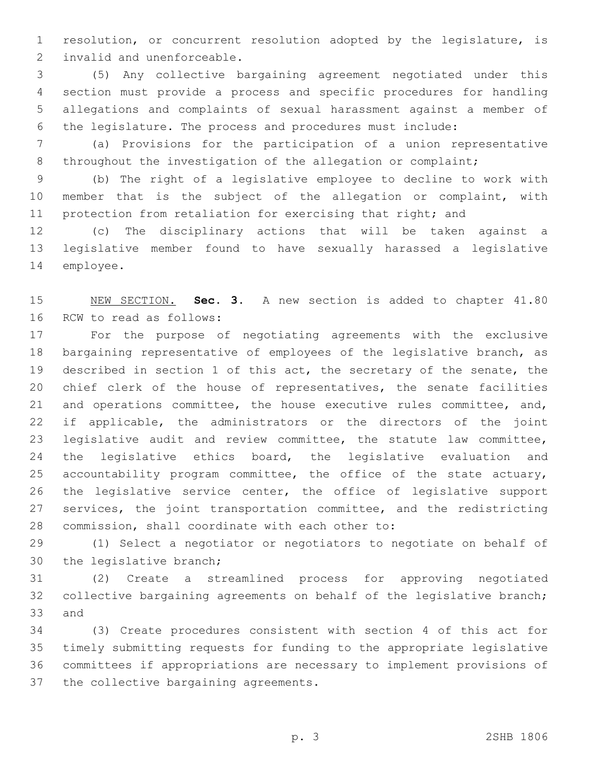resolution, or concurrent resolution adopted by the legislature, is 2 invalid and unenforceable.

 (5) Any collective bargaining agreement negotiated under this section must provide a process and specific procedures for handling allegations and complaints of sexual harassment against a member of the legislature. The process and procedures must include:

 (a) Provisions for the participation of a union representative 8 throughout the investigation of the allegation or complaint;

 (b) The right of a legislative employee to decline to work with member that is the subject of the allegation or complaint, with protection from retaliation for exercising that right; and

 (c) The disciplinary actions that will be taken against a legislative member found to have sexually harassed a legislative 14 employee.

 NEW SECTION. **Sec. 3.** A new section is added to chapter 41.80 16 RCW to read as follows:

 For the purpose of negotiating agreements with the exclusive bargaining representative of employees of the legislative branch, as described in section 1 of this act, the secretary of the senate, the chief clerk of the house of representatives, the senate facilities and operations committee, the house executive rules committee, and, if applicable, the administrators or the directors of the joint legislative audit and review committee, the statute law committee, 24 the legislative ethics board, the legislative evaluation and accountability program committee, the office of the state actuary, the legislative service center, the office of legislative support services, the joint transportation committee, and the redistricting 28 commission, shall coordinate with each other to:

 (1) Select a negotiator or negotiators to negotiate on behalf of 30 the legislative branch;

 (2) Create a streamlined process for approving negotiated collective bargaining agreements on behalf of the legislative branch; 33 and

 (3) Create procedures consistent with section 4 of this act for timely submitting requests for funding to the appropriate legislative committees if appropriations are necessary to implement provisions of 37 the collective bargaining agreements.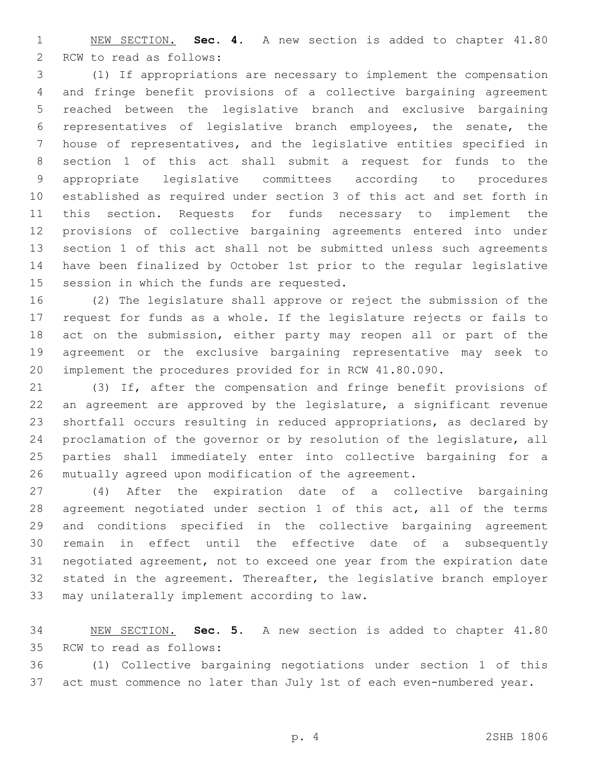NEW SECTION. **Sec. 4.** A new section is added to chapter 41.80 2 RCW to read as follows:

 (1) If appropriations are necessary to implement the compensation and fringe benefit provisions of a collective bargaining agreement reached between the legislative branch and exclusive bargaining representatives of legislative branch employees, the senate, the house of representatives, and the legislative entities specified in section 1 of this act shall submit a request for funds to the appropriate legislative committees according to procedures established as required under section 3 of this act and set forth in this section. Requests for funds necessary to implement the provisions of collective bargaining agreements entered into under section 1 of this act shall not be submitted unless such agreements have been finalized by October 1st prior to the regular legislative 15 session in which the funds are requested.

 (2) The legislature shall approve or reject the submission of the request for funds as a whole. If the legislature rejects or fails to act on the submission, either party may reopen all or part of the agreement or the exclusive bargaining representative may seek to implement the procedures provided for in RCW 41.80.090.

 (3) If, after the compensation and fringe benefit provisions of an agreement are approved by the legislature, a significant revenue shortfall occurs resulting in reduced appropriations, as declared by proclamation of the governor or by resolution of the legislature, all parties shall immediately enter into collective bargaining for a mutually agreed upon modification of the agreement.

 (4) After the expiration date of a collective bargaining agreement negotiated under section 1 of this act, all of the terms and conditions specified in the collective bargaining agreement remain in effect until the effective date of a subsequently negotiated agreement, not to exceed one year from the expiration date stated in the agreement. Thereafter, the legislative branch employer 33 may unilaterally implement according to law.

 NEW SECTION. **Sec. 5.** A new section is added to chapter 41.80 35 RCW to read as follows:

 (1) Collective bargaining negotiations under section 1 of this act must commence no later than July 1st of each even-numbered year.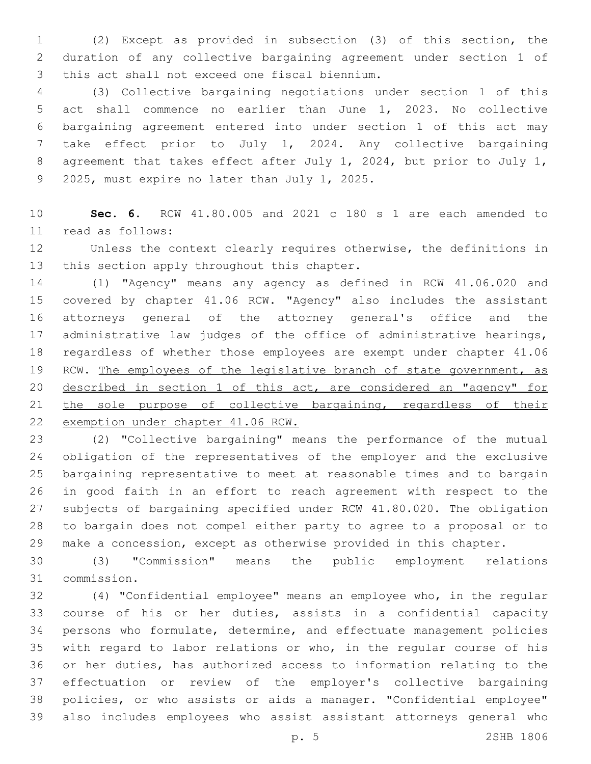(2) Except as provided in subsection (3) of this section, the duration of any collective bargaining agreement under section 1 of 3 this act shall not exceed one fiscal biennium.

 (3) Collective bargaining negotiations under section 1 of this act shall commence no earlier than June 1, 2023. No collective bargaining agreement entered into under section 1 of this act may take effect prior to July 1, 2024. Any collective bargaining agreement that takes effect after July 1, 2024, but prior to July 1, 9 2025, must expire no later than July 1, 2025.

 **Sec. 6.** RCW 41.80.005 and 2021 c 180 s 1 are each amended to read as follows:11

 Unless the context clearly requires otherwise, the definitions in 13 this section apply throughout this chapter.

 (1) "Agency" means any agency as defined in RCW 41.06.020 and covered by chapter 41.06 RCW. "Agency" also includes the assistant attorneys general of the attorney general's office and the administrative law judges of the office of administrative hearings, regardless of whether those employees are exempt under chapter 41.06 19 RCW. The employees of the legislative branch of state government, as described in section 1 of this act, are considered an "agency" for the sole purpose of collective bargaining, regardless of their exemption under chapter 41.06 RCW.

 (2) "Collective bargaining" means the performance of the mutual obligation of the representatives of the employer and the exclusive bargaining representative to meet at reasonable times and to bargain in good faith in an effort to reach agreement with respect to the subjects of bargaining specified under RCW 41.80.020. The obligation to bargain does not compel either party to agree to a proposal or to make a concession, except as otherwise provided in this chapter.

 (3) "Commission" means the public employment relations 31 commission.

 (4) "Confidential employee" means an employee who, in the regular course of his or her duties, assists in a confidential capacity persons who formulate, determine, and effectuate management policies with regard to labor relations or who, in the regular course of his or her duties, has authorized access to information relating to the effectuation or review of the employer's collective bargaining policies, or who assists or aids a manager. "Confidential employee" also includes employees who assist assistant attorneys general who

p. 5 2SHB 1806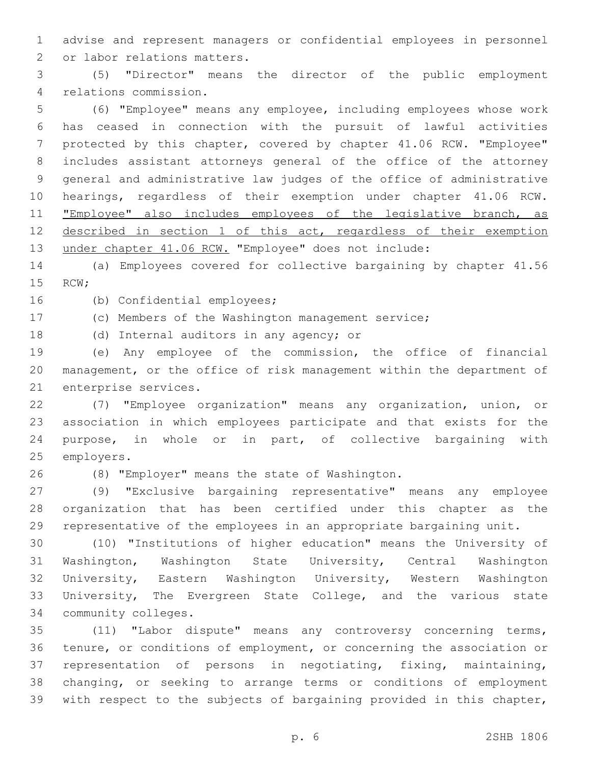advise and represent managers or confidential employees in personnel 2 or labor relations matters.

 (5) "Director" means the director of the public employment relations commission.4

 (6) "Employee" means any employee, including employees whose work has ceased in connection with the pursuit of lawful activities protected by this chapter, covered by chapter 41.06 RCW. "Employee" includes assistant attorneys general of the office of the attorney general and administrative law judges of the office of administrative hearings, regardless of their exemption under chapter 41.06 RCW. 11 "Employee" also includes employees of the legislative branch, as 12 described in section 1 of this act, regardless of their exemption under chapter 41.06 RCW. "Employee" does not include:

 (a) Employees covered for collective bargaining by chapter 41.56 15 RCW;

16 (b) Confidential employees;

(c) Members of the Washington management service;

18 (d) Internal auditors in any agency; or

 (e) Any employee of the commission, the office of financial management, or the office of risk management within the department of 21 enterprise services.

 (7) "Employee organization" means any organization, union, or association in which employees participate and that exists for the purpose, in whole or in part, of collective bargaining with 25 employers.

(8) "Employer" means the state of Washington.26

 (9) "Exclusive bargaining representative" means any employee organization that has been certified under this chapter as the representative of the employees in an appropriate bargaining unit.

 (10) "Institutions of higher education" means the University of Washington, Washington State University, Central Washington University, Eastern Washington University, Western Washington University, The Evergreen State College, and the various state 34 community colleges.

 (11) "Labor dispute" means any controversy concerning terms, tenure, or conditions of employment, or concerning the association or representation of persons in negotiating, fixing, maintaining, changing, or seeking to arrange terms or conditions of employment with respect to the subjects of bargaining provided in this chapter,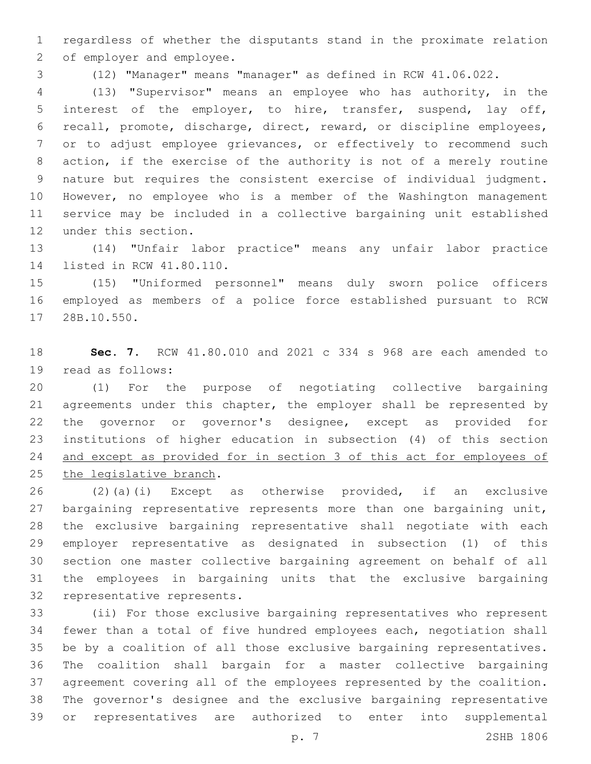regardless of whether the disputants stand in the proximate relation 2 of employer and employee.

(12) "Manager" means "manager" as defined in RCW 41.06.022.

 (13) "Supervisor" means an employee who has authority, in the interest of the employer, to hire, transfer, suspend, lay off, recall, promote, discharge, direct, reward, or discipline employees, or to adjust employee grievances, or effectively to recommend such action, if the exercise of the authority is not of a merely routine nature but requires the consistent exercise of individual judgment. However, no employee who is a member of the Washington management service may be included in a collective bargaining unit established 12 under this section.

 (14) "Unfair labor practice" means any unfair labor practice 14 listed in RCW 41.80.110.

 (15) "Uniformed personnel" means duly sworn police officers employed as members of a police force established pursuant to RCW 17 28B.10.550.

 **Sec. 7.** RCW 41.80.010 and 2021 c 334 s 968 are each amended to 19 read as follows:

 (1) For the purpose of negotiating collective bargaining agreements under this chapter, the employer shall be represented by the governor or governor's designee, except as provided for institutions of higher education in subsection (4) of this section and except as provided for in section 3 of this act for employees of 25 the legislative branch.

 (2)(a)(i) Except as otherwise provided, if an exclusive 27 bargaining representative represents more than one bargaining unit, the exclusive bargaining representative shall negotiate with each employer representative as designated in subsection (1) of this section one master collective bargaining agreement on behalf of all the employees in bargaining units that the exclusive bargaining 32 representative represents.

 (ii) For those exclusive bargaining representatives who represent fewer than a total of five hundred employees each, negotiation shall be by a coalition of all those exclusive bargaining representatives. The coalition shall bargain for a master collective bargaining agreement covering all of the employees represented by the coalition. The governor's designee and the exclusive bargaining representative or representatives are authorized to enter into supplemental

p. 7 2SHB 1806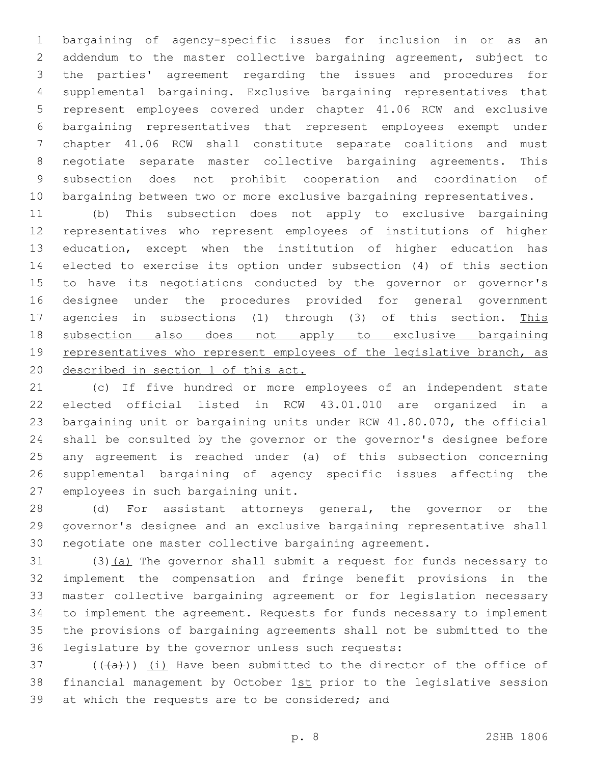bargaining of agency-specific issues for inclusion in or as an addendum to the master collective bargaining agreement, subject to the parties' agreement regarding the issues and procedures for supplemental bargaining. Exclusive bargaining representatives that represent employees covered under chapter 41.06 RCW and exclusive bargaining representatives that represent employees exempt under chapter 41.06 RCW shall constitute separate coalitions and must negotiate separate master collective bargaining agreements. This subsection does not prohibit cooperation and coordination of bargaining between two or more exclusive bargaining representatives.

 (b) This subsection does not apply to exclusive bargaining representatives who represent employees of institutions of higher education, except when the institution of higher education has elected to exercise its option under subsection (4) of this section to have its negotiations conducted by the governor or governor's designee under the procedures provided for general government 17 agencies in subsections (1) through (3) of this section. This subsection also does not apply to exclusive bargaining 19 representatives who represent employees of the legislative branch, as described in section 1 of this act.

 (c) If five hundred or more employees of an independent state elected official listed in RCW 43.01.010 are organized in a bargaining unit or bargaining units under RCW 41.80.070, the official shall be consulted by the governor or the governor's designee before any agreement is reached under (a) of this subsection concerning supplemental bargaining of agency specific issues affecting the 27 employees in such bargaining unit.

 (d) For assistant attorneys general, the governor or the governor's designee and an exclusive bargaining representative shall negotiate one master collective bargaining agreement.

31 (3)(a) The governor shall submit a request for funds necessary to implement the compensation and fringe benefit provisions in the master collective bargaining agreement or for legislation necessary to implement the agreement. Requests for funds necessary to implement the provisions of bargaining agreements shall not be submitted to the 36 legislature by the governor unless such requests:

 $($  ( $(\overline{a})$ )  $(i)$  Have been submitted to the director of the office of 38 financial management by October 1st prior to the legislative session 39 at which the requests are to be considered; and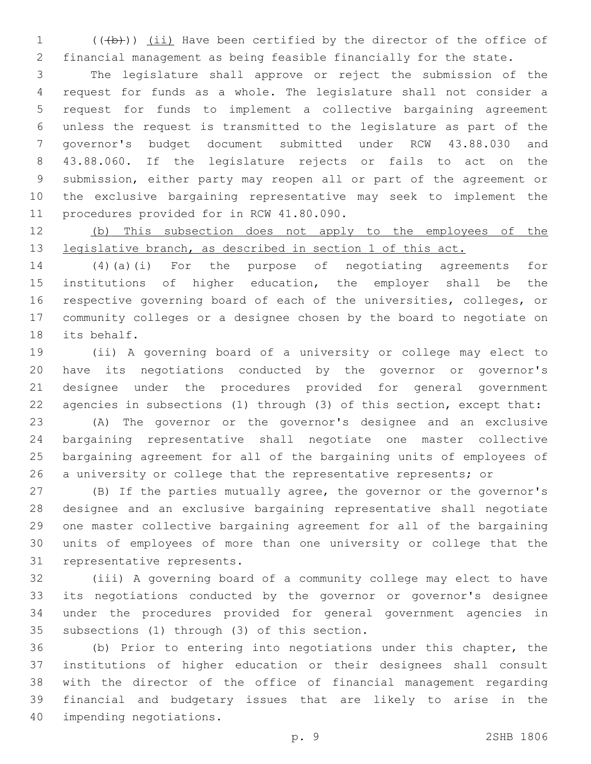1 (((b))) (ii) Have been certified by the director of the office of financial management as being feasible financially for the state.

 The legislature shall approve or reject the submission of the request for funds as a whole. The legislature shall not consider a request for funds to implement a collective bargaining agreement unless the request is transmitted to the legislature as part of the governor's budget document submitted under RCW 43.88.030 and 43.88.060. If the legislature rejects or fails to act on the submission, either party may reopen all or part of the agreement or the exclusive bargaining representative may seek to implement the 11 procedures provided for in RCW 41.80.090.

 (b) This subsection does not apply to the employees of the 13 legislative branch, as described in section 1 of this act.

 (4)(a)(i) For the purpose of negotiating agreements for institutions of higher education, the employer shall be the respective governing board of each of the universities, colleges, or community colleges or a designee chosen by the board to negotiate on 18 its behalf.

 (ii) A governing board of a university or college may elect to have its negotiations conducted by the governor or governor's designee under the procedures provided for general government agencies in subsections (1) through (3) of this section, except that:

 (A) The governor or the governor's designee and an exclusive bargaining representative shall negotiate one master collective bargaining agreement for all of the bargaining units of employees of 26 a university or college that the representative represents; or

 (B) If the parties mutually agree, the governor or the governor's designee and an exclusive bargaining representative shall negotiate one master collective bargaining agreement for all of the bargaining units of employees of more than one university or college that the 31 representative represents.

 (iii) A governing board of a community college may elect to have its negotiations conducted by the governor or governor's designee under the procedures provided for general government agencies in 35 subsections (1) through (3) of this section.

 (b) Prior to entering into negotiations under this chapter, the institutions of higher education or their designees shall consult with the director of the office of financial management regarding financial and budgetary issues that are likely to arise in the 40 impending negotiations.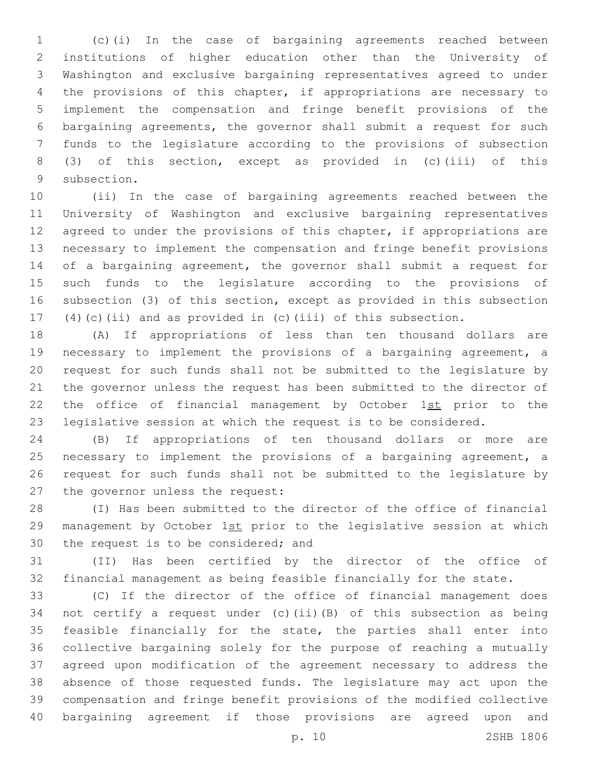(c)(i) In the case of bargaining agreements reached between institutions of higher education other than the University of Washington and exclusive bargaining representatives agreed to under the provisions of this chapter, if appropriations are necessary to implement the compensation and fringe benefit provisions of the bargaining agreements, the governor shall submit a request for such funds to the legislature according to the provisions of subsection (3) of this section, except as provided in (c)(iii) of this 9 subsection.

 (ii) In the case of bargaining agreements reached between the University of Washington and exclusive bargaining representatives 12 agreed to under the provisions of this chapter, if appropriations are necessary to implement the compensation and fringe benefit provisions of a bargaining agreement, the governor shall submit a request for such funds to the legislature according to the provisions of subsection (3) of this section, except as provided in this subsection (4)(c)(ii) and as provided in (c)(iii) of this subsection.

 (A) If appropriations of less than ten thousand dollars are necessary to implement the provisions of a bargaining agreement, a request for such funds shall not be submitted to the legislature by the governor unless the request has been submitted to the director of 22 the office of financial management by October 1st prior to the legislative session at which the request is to be considered.

 (B) If appropriations of ten thousand dollars or more are necessary to implement the provisions of a bargaining agreement, a request for such funds shall not be submitted to the legislature by 27 the governor unless the request:

 (I) Has been submitted to the director of the office of financial 29 management by October 1st prior to the legislative session at which 30 the request is to be considered; and

 (II) Has been certified by the director of the office of financial management as being feasible financially for the state.

 (C) If the director of the office of financial management does not certify a request under (c)(ii)(B) of this subsection as being feasible financially for the state, the parties shall enter into collective bargaining solely for the purpose of reaching a mutually agreed upon modification of the agreement necessary to address the absence of those requested funds. The legislature may act upon the compensation and fringe benefit provisions of the modified collective bargaining agreement if those provisions are agreed upon and

p. 10 2SHB 1806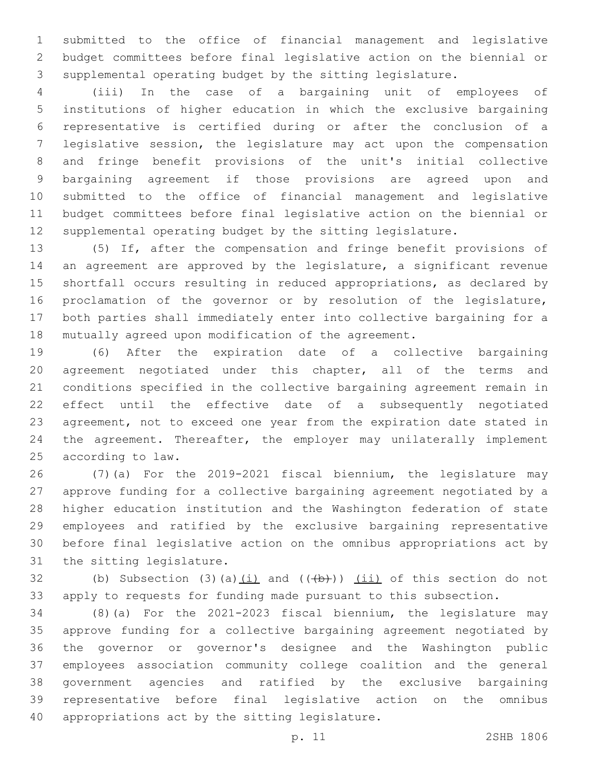submitted to the office of financial management and legislative budget committees before final legislative action on the biennial or supplemental operating budget by the sitting legislature.

 (iii) In the case of a bargaining unit of employees of institutions of higher education in which the exclusive bargaining representative is certified during or after the conclusion of a legislative session, the legislature may act upon the compensation and fringe benefit provisions of the unit's initial collective bargaining agreement if those provisions are agreed upon and submitted to the office of financial management and legislative budget committees before final legislative action on the biennial or supplemental operating budget by the sitting legislature.

 (5) If, after the compensation and fringe benefit provisions of an agreement are approved by the legislature, a significant revenue shortfall occurs resulting in reduced appropriations, as declared by proclamation of the governor or by resolution of the legislature, both parties shall immediately enter into collective bargaining for a mutually agreed upon modification of the agreement.

 (6) After the expiration date of a collective bargaining agreement negotiated under this chapter, all of the terms and conditions specified in the collective bargaining agreement remain in effect until the effective date of a subsequently negotiated agreement, not to exceed one year from the expiration date stated in 24 the agreement. Thereafter, the employer may unilaterally implement 25 according to law.

 (7)(a) For the 2019-2021 fiscal biennium, the legislature may approve funding for a collective bargaining agreement negotiated by a higher education institution and the Washington federation of state employees and ratified by the exclusive bargaining representative before final legislative action on the omnibus appropriations act by 31 the sitting legislature.

32 (b) Subsection (3)(a) $(i)$  and  $((+b))$   $(i)$  of this section do not apply to requests for funding made pursuant to this subsection.

 (8)(a) For the 2021-2023 fiscal biennium, the legislature may approve funding for a collective bargaining agreement negotiated by the governor or governor's designee and the Washington public employees association community college coalition and the general government agencies and ratified by the exclusive bargaining representative before final legislative action on the omnibus 40 appropriations act by the sitting legislature.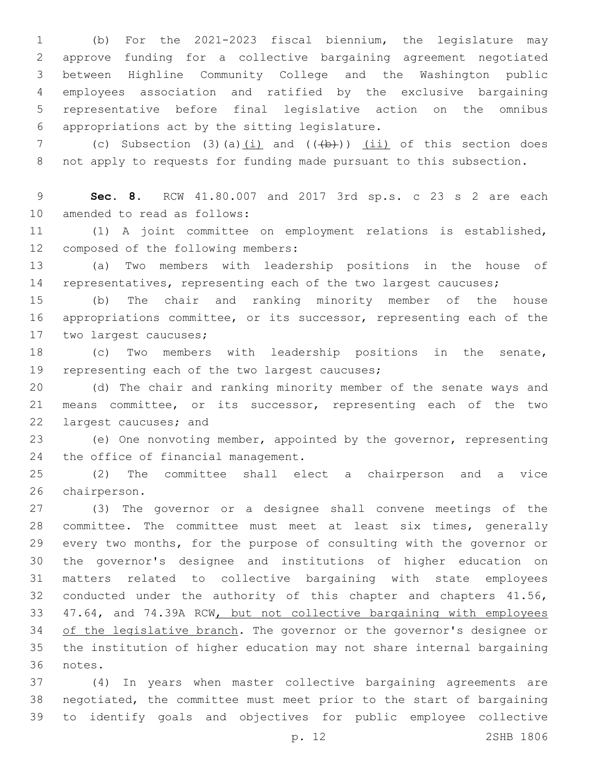(b) For the 2021-2023 fiscal biennium, the legislature may approve funding for a collective bargaining agreement negotiated between Highline Community College and the Washington public employees association and ratified by the exclusive bargaining representative before final legislative action on the omnibus appropriations act by the sitting legislature.6

7 (c) Subsection (3)(a)(i) and (((b))) (ii) of this section does not apply to requests for funding made pursuant to this subsection.

 **Sec. 8.** RCW 41.80.007 and 2017 3rd sp.s. c 23 s 2 are each 10 amended to read as follows:

 (1) A joint committee on employment relations is established, 12 composed of the following members:

 (a) Two members with leadership positions in the house of 14 representatives, representing each of the two largest caucuses;

 (b) The chair and ranking minority member of the house appropriations committee, or its successor, representing each of the 17 two largest caucuses;

 (c) Two members with leadership positions in the senate, 19 representing each of the two largest caucuses;

 (d) The chair and ranking minority member of the senate ways and means committee, or its successor, representing each of the two 22 largest caucuses; and

 (e) One nonvoting member, appointed by the governor, representing 24 the office of financial management.

 (2) The committee shall elect a chairperson and a vice 26 chairperson.

 (3) The governor or a designee shall convene meetings of the committee. The committee must meet at least six times, generally every two months, for the purpose of consulting with the governor or the governor's designee and institutions of higher education on matters related to collective bargaining with state employees 32 conducted under the authority of this chapter and chapters 41.56, 47.64, and 74.39A RCW, but not collective bargaining with employees 34 of the legislative branch. The governor or the governor's designee or the institution of higher education may not share internal bargaining 36 notes.

 (4) In years when master collective bargaining agreements are negotiated, the committee must meet prior to the start of bargaining to identify goals and objectives for public employee collective

p. 12 2SHB 1806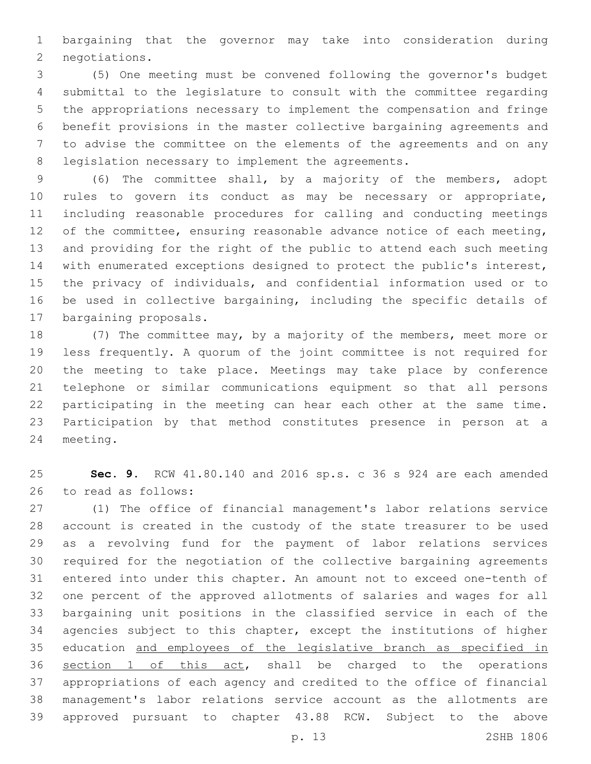bargaining that the governor may take into consideration during 2 negotiations.

 (5) One meeting must be convened following the governor's budget submittal to the legislature to consult with the committee regarding the appropriations necessary to implement the compensation and fringe benefit provisions in the master collective bargaining agreements and to advise the committee on the elements of the agreements and on any 8 legislation necessary to implement the agreements.

 (6) The committee shall, by a majority of the members, adopt rules to govern its conduct as may be necessary or appropriate, including reasonable procedures for calling and conducting meetings 12 of the committee, ensuring reasonable advance notice of each meeting, and providing for the right of the public to attend each such meeting with enumerated exceptions designed to protect the public's interest, the privacy of individuals, and confidential information used or to be used in collective bargaining, including the specific details of 17 bargaining proposals.

 (7) The committee may, by a majority of the members, meet more or less frequently. A quorum of the joint committee is not required for the meeting to take place. Meetings may take place by conference telephone or similar communications equipment so that all persons participating in the meeting can hear each other at the same time. Participation by that method constitutes presence in person at a 24 meeting.

 **Sec. 9.** RCW 41.80.140 and 2016 sp.s. c 36 s 924 are each amended 26 to read as follows:

 (1) The office of financial management's labor relations service account is created in the custody of the state treasurer to be used as a revolving fund for the payment of labor relations services required for the negotiation of the collective bargaining agreements entered into under this chapter. An amount not to exceed one-tenth of one percent of the approved allotments of salaries and wages for all bargaining unit positions in the classified service in each of the agencies subject to this chapter, except the institutions of higher education and employees of the legislative branch as specified in section 1 of this act, shall be charged to the operations appropriations of each agency and credited to the office of financial management's labor relations service account as the allotments are approved pursuant to chapter 43.88 RCW. Subject to the above

p. 13 2SHB 1806